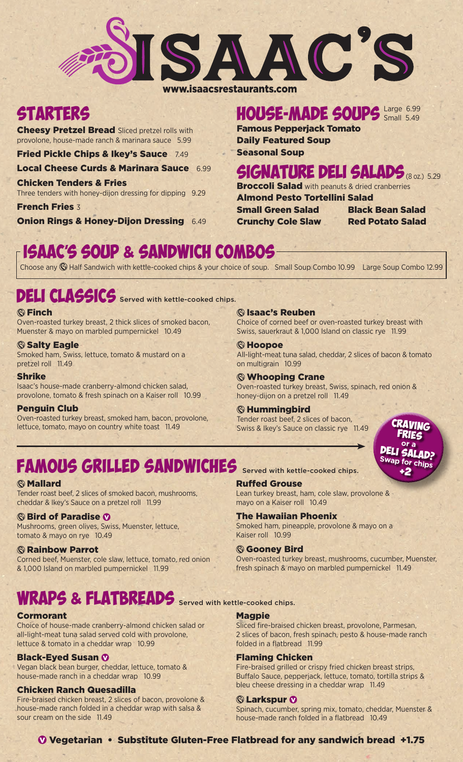

## www.isaacsrestaurants.com

# **STARTERS**

**Cheesy Pretzel Bread Sliced pretzel rolls with** provolone, house-made ranch & marinara sauce 5.99

Fried Pickle Chips & Ikey's Sauce 7.49

Local Cheese Curds & Marinara Sauce 6.99

Chicken Tenders & Fries Three tenders with honey-dijon dressing for dipping 9.29

French Fries 3 **Onion Rings & Honey-Dijon Dressing 6.49** 

## HOUSE-MADE SOUPS Large 6.99 Small 5.49

Famous Pepperjack Tomato Daily Featured Soup

Seasonal Soup

## SIGNATURE DELI SALADS (8 oz.) 5.29

**Broccoli Salad** with peanuts & dried cranberries

Almond Pesto Tortellini Salad Small Green Salad Black Bean Salad

Crunchy Cole Slaw Red Potato Salad

# ISAAC'S SOUP & SANDWICH COMBOS

Choose any Half Sandwich with kettle-cooked chips & your choice of soup. Small Soup Combo 10.99 Large Soup Combo 12.99

# DELI CLASSICS Served with kettle-cooked chips.

## *<b>G* Finch

Oven-roasted turkey breast, 2 thick slices of smoked bacon, Muenster & mayo on marbled pumpernickel 10.49

## **Salty Eagle**

Smoked ham, Swiss, lettuce, tomato & mustard on a pretzel roll 11.49

## Shrike

Isaac's house-made cranberry-almond chicken salad, provolone, tomato & fresh spinach on a Kaiser roll 10.99

## Penguin Club

Oven-roasted turkey breast, smoked ham, bacon, provolone, lettuce, tomato, mayo on country white toast 11.49

## Isaac's Reuben

Choice of corned beef or oven-roasted turkey breast with Swiss, sauerkraut & 1,000 Island on classic rye 11.99

## **S**Hoopoe

All-light-meat tuna salad, cheddar, 2 slices of bacon & tomato on multigrain 10.99

## Whooping Crane

Oven-roasted turkey breast, Swiss, spinach, red onion & honey-dijon on a pretzel roll 11.49

## **<b> S** Hummingbird

Tender roast beef, 2 slices of bacon, Swiss & Ikey's Sauce on classic rye 11.49



# **FAMOUS GRILLED SANDWICHES** Served with kettle-cooked chips.

## *<b>Mallard*

Tender roast beef, 2 slices of smoked bacon, mushrooms, cheddar & Ikey's Sauce on a pretzel roll 11.99

## **Sird of Paradise Ø**

Mushrooms, green olives, Swiss, Muenster, lettuce, tomato & mayo on rye 10.49

## *<b>G* Rainbow Parrot

Corned beef, Muenster, cole slaw, lettuce, tomato, red onion & 1,000 Island on marbled pumpernickel 11.99

# WKAPS & FLATBREADS Served with kettle-cooked chips.

## Cormorant

Choice of house-made cranberry-almond chicken salad or all-light-meat tuna salad served cold with provolone, lettuce & tomato in a cheddar wrap 10.99

## **Black-Eyed Susan Ø**

Vegan black bean burger, cheddar, lettuce, tomato & house-made ranch in a cheddar wrap 10.99

## Chicken Ranch Quesadilla

Fire-braised chicken breast, 2 slices of bacon, provolone & house-made ranch folded in a cheddar wrap with salsa & sour cream on the side 11.49

## Ruffed Grouse

Lean turkey breast, ham, cole slaw, provolone & mayo on a Kaiser roll 10.49

## The Hawaiian Phoenix

Smoked ham, pineapple, provolone & mayo on a Kaiser roll 10.99

## **Gooney Bird**

Oven-roasted turkey breast, mushrooms, cucumber, Muenster, fresh spinach & mayo on marbled pumpernickel 11.49

## Magpie

Sliced fire-braised chicken breast, provolone, Parmesan, 2 slices of bacon, fresh spinach, pesto & house-made ranch folded in a flatbread 11.99

## Flaming Chicken

Fire-braised grilled or crispy fried chicken breast strips, Buffalo Sauce, pepperjack, lettuce, tomato, tortilla strips & bleu cheese dressing in a cheddar wrap 11.49

## **C** Larkspur *Q*

Spinach, cucumber, spring mix, tomato, cheddar, Muenster & house-made ranch folded in a flatbread 10.49

## Vegetarian • Substitute Gluten-Free Flatbread for any sandwich bread +1.75